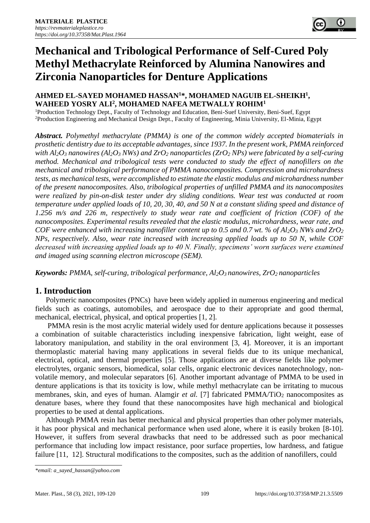# **Mechanical and Tribological Performance of Self-Cured Poly Methyl Methacrylate Reinforced by Alumina Nanowires and Zirconia Nanoparticles for Denture Applications**

## **AHMED EL-SAYED MOHAMED HASSAN<sup>1</sup>\*, MOHAMED NAGUIB EL-SHEIKH<sup>1</sup> , WAHEED YOSRY ALI<sup>2</sup> , MOHAMED NAFEA METWALLY ROHIM<sup>1</sup>**

<sup>1</sup>Production Technology Dept., Faculty of Technology and Education, Beni-Suef University, Beni-Suef, Egypt <sup>2</sup>Production Engineering and Mechanical Design Dept., Faculty of Engineering, Minia University, El-Minia, Egypt

*Abstract. Polymethyl methacrylate (PMMA) is one of the common widely accepted biomaterials in prosthetic dentistry due to its acceptable advantages, since 1937. In the present work, PMMA reinforced with Al2O<sup>3</sup> nanowires (Al2O<sup>3</sup> NWs) and ZrO<sup>2</sup> nanoparticles (ZrO<sup>2</sup> NPs) were fabricated by a self-curing method. Mechanical and tribological tests were conducted to study the effect of nanofillers on the mechanical and tribological performance of PMMA nanocomposites. Compression and microhardness tests, as mechanical tests, were accomplished to estimate the elastic modulus and microhardness number of the present nanocomposites. Also, tribological properties of unfilled PMMA and its nanocomposites were realized by pin-on-disk tester under dry sliding conditions. Wear test was conducted at room temperature under applied loads of 10, 20, 30, 40, and 50 N at a constant sliding speed and distance of 1.256 m/s and 226 m, respectively to study wear rate and coefficient of friction (COF) of the nanocomposites. Experimental results revealed that the elastic modulus, microhardness, wear rate, and COF were enhanced with increasing nanofiller content up to 0.5 and 0.7 wt. % of Al2O<sup>3</sup> NWs and ZrO<sup>2</sup> NPs, respectively. Also, wear rate increased with increasing applied loads up to 50 N, while COF decreased with increasing applied loads up to 40 N. Finally, specimens' worn surfaces were examined and imaged using scanning electron microscope (SEM).* 

*Keywords: PMMA, self-curing, tribological performance, Al2O<sup>3</sup> nanowires, ZrO<sup>2</sup> nanoparticles* 

# **1. Introduction**

Polymeric nanocomposites (PNCs) have been widely applied in numerous engineering and medical fields such as coatings, automobiles, and aerospace due to their appropriate and good thermal, mechanical, electrical, physical, and optical properties [1, 2].

PMMA resin is the most acrylic material widely used for denture applications because it possesses a combination of suitable characteristics including inexpensive fabrication, light weight, ease of laboratory manipulation, and stability in the oral environment [3, 4]. Moreover, it is an important thermoplastic material having many applications in several fields due to its unique mechanical, electrical, optical, and thermal properties [5]. Those applications are at diverse fields like polymer electrolytes, organic sensors, biomedical, solar cells, organic electronic devices nanotechnology, nonvolatile memory, and molecular separators [6]*.* Another important advantage of PMMA to be used in denture applications is that its toxicity is low, while methyl methacrylate can be irritating to mucous membranes, skin, and eyes of human. Alamgir *et al.* [7] fabricated PMMA/TiO<sub>2</sub> nanocomposites as denature bases, where they found that these nanocomposites have high mechanical and biological properties to be used at dental applications.

Although PMMA resin has better mechanical and physical properties than other polymer materials, it has poor physical and mechanical performance when used alone, where it is easily broken [8-10]. However, it suffers from several drawbacks that need to be addressed such as poor mechanical performance that including low impact resistance, poor surface properties, low hardness, and fatigue failure [11, 12]. Structural modifications to the composites, such as the addition of nanofillers, could

*<sup>\*</sup>email: a\_sayed\_hassan@yahoo.com*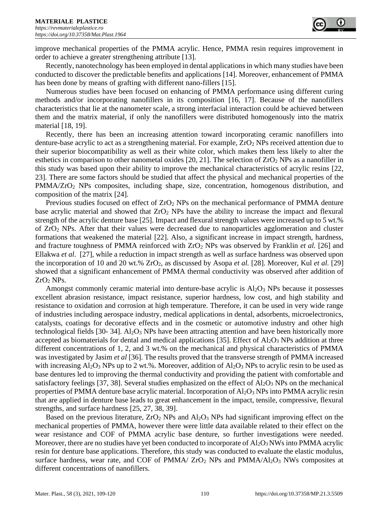improve mechanical properties of the PMMA acrylic. Hence, PMMA resin requires improvement in order to achieve a greater strengthening attribute [13].

Recently, nanotechnology has been employed in dental applications in which many studies have been conducted to discover the predictable benefits and applications [14]. Moreover, enhancement of PMMA has been done by means of grafting with different nano-fillers [15].

Numerous studies have been focused on enhancing of PMMA performance using different curing methods and/or incorporating nanofillers in its composition [16, 17]. Because of the nanofillers characteristics that lie at the nanometer scale, a strong interfacial interaction could be achieved between them and the matrix material, if only the nanofillers were distributed homogenously into the matrix material [18, 19].

Recently, there has been an increasing attention toward incorporating ceramic nanofillers into denture-base acrylic to act as a strengthening material. For example,  $ZrO<sub>2</sub> NPs$  received attention due to their superior biocompatibility as well as their white color, which makes them less likely to alter the esthetics in comparison to other nanometal oxides [20, 21]. The selection of  $ZrO<sub>2</sub> NPs$  as a nanofiller in this study was based upon their ability to improve the mechanical characteristics of acrylic resins [22, 23]. There are some factors should be studied that affect the physical and mechanical properties of the PMMA/ZrO<sub>2</sub> NPs composites, including shape, size, concentration, homogenous distribution, and composition of the matrix [24].

Previous studies focused on effect of ZrO<sub>2</sub> NPs on the mechanical performance of PMMA denture base acrylic material and showed that  $ZrO<sub>2</sub>$  NPs have the ability to increase the impact and flexural strength of the acrylic denture base [25]. Impact and flexural strength values were increased up to 5 wt.% of ZrO<sup>2</sup> NPs. After that their values were decreased due to nanoparticles agglomeration and cluster formations that weakened the material [22]. Also, a significant increase in impact strength, hardness, and fracture toughness of PMMA reinforced with ZrO<sup>2</sup> NPs was observed by Franklin *et al.* [26] and Ellakwa *et al*. [27], while a reduction in impact strength as well as surface hardness was observed upon the incorporation of 10 and 20 wt.% ZrO2, as discussed by Asopa *et al.* [28]. Moreover, Kul *et al.* [29] showed that a significant enhancement of PMMA thermal conductivity was observed after addition of  $ZrO<sub>2</sub> NPs.$ 

Amongst commonly ceramic material into denture-base acrylic is  $Al_2O_3$  NPs because it possesses excellent abrasion resistance, impact resistance, superior hardness, low cost, and high stability and resistance to oxidation and corrosion at high temperature. Therefore, it can be used in very wide range of industries including aerospace industry, medical applications in dental, adsorbents, microelectronics, catalysts, coatings for decorative effects and in the cosmetic or automotive industry and other high technological fields [30- 34].  $A1_2O_3$  NPs have been attracting attention and have been historically more accepted as biomaterials for dental and medical applications [35]. Effect of  $Al_2O_3$  NPs addition at three different concentrations of 1, 2, and 3 wt.% on the mechanical and physical characteristics of PMMA was investigated by Jasim *et al* [36]. The results proved that the transverse strength of PMMA increased with increasing  $Al_2O_3$  NPs up to 2 wt.%. Moreover, addition of  $Al_2O_3$  NPs to acrylic resin to be used as base dentures led to improving the thermal conductivity and providing the patient with comfortable and satisfactory feelings [37, 38]. Several studies emphasized on the effect of Al<sub>2</sub>O<sub>3</sub> NPs on the mechanical properties of PMMA denture base acrylic material. Incorporation of  $Al_2O_3$  NPs into PMMA acrylic resin that are applied in denture base leads to great enhancement in the impact, tensile, compressive, flexural strengths, and surface hardness [25, 27, 38, 39].

Based on the previous literature,  $ZrO<sub>2</sub>$  NPs and  $Al<sub>2</sub>O<sub>3</sub>$  NPs had significant improving effect on the mechanical properties of PMMA, however there were little data available related to their effect on the wear resistance and COF of PMMA acrylic base denture, so further investigations were needed. Moreover, there are no studies have yet been conducted to incorporate of  $Al_2O_3$  NWs into PMMA acrylic resin for denture base applications. Therefore, this study was conducted to evaluate the elastic modulus, surface hardness, wear rate, and COF of PMMA/  $ZrO<sub>2</sub>$  NPs and PMMA/Al<sub>2</sub>O<sub>3</sub> NWs composites at different concentrations of nanofillers.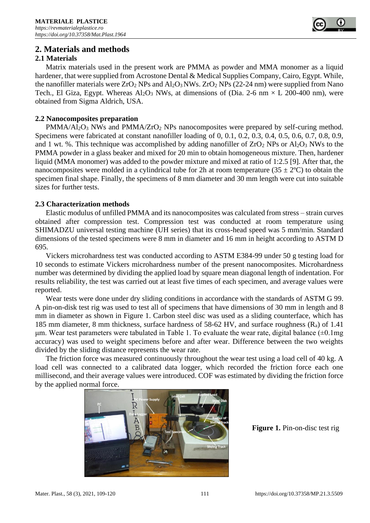# **2. Materials and methods**

#### **2.1 Materials**

Matrix materials used in the present work are PMMA as powder and MMA monomer as a liquid hardener, that were supplied from Acrostone Dental & Medical Supplies Company, Cairo, Egypt. While, the nanofiller materials were  $ZrO_2$  NPs and  $Al_2O_3$  NWs.  $ZrO_2$  NPs (22-24 nm) were supplied from Nano Tech., El Giza, Egypt. Whereas  $Al_2O_3$  NWs, at dimensions of (Dia. 2-6 nm  $\times$  L 200-400 nm), were obtained from Sigma Aldrich, USA.

#### **2.2 Nanocomposites preparation**

 $PMMA/AI_2O_3$  NWs and  $PMMA/ZrO_2$  NPs nanocomposites were prepared by self-curing method. Specimens were fabricated at constant nanofiller loading of 0, 0.1, 0.2, 0.3, 0.4, 0.5, 0.6, 0.7, 0.8, 0.9, and 1 wt. %. This technique was accomplished by adding nanofiller of  $ZrO<sub>2</sub> NPs$  or  $Al<sub>2</sub>O<sub>3</sub> NWs$  to the PMMA powder in a glass beaker and mixed for 20 min to obtain homogeneous mixture. Then, hardener liquid (MMA monomer) was added to the powder mixture and mixed at ratio of 1:2.5 [9]. After that, the nanocomposites were molded in a cylindrical tube for 2h at room temperature ( $35 \pm 2$ °C) to obtain the specimen final shape. Finally, the specimens of 8 mm diameter and 30 mm length were cut into suitable sizes for further tests.

#### **2.3 Characterization methods**

Elastic modulus of unfilled PMMA and its nanocomposites was calculated from stress – strain curves obtained after compression test. Compression test was conducted at room temperature using SHIMADZU universal testing machine (UH series) that its cross-head speed was 5 mm/min. Standard dimensions of the tested specimens were 8 mm in diameter and 16 mm in height according to ASTM D 695.

Vickers microhardness test was conducted according to ASTM E384-99 under 50 g testing load for 10 seconds to estimate Vickers microhardness number of the present nanocomposites. Microhardness number was determined by dividing the applied load by square mean diagonal length of indentation. For results reliability, the test was carried out at least five times of each specimen, and average values were reported.

Wear tests were done under dry sliding conditions in accordance with the standards of ASTM G 99. A pin-on-disk test rig was used to test all of specimens that have dimensions of 30 mm in length and 8 mm in diameter as shown in Figure 1. Carbon steel disc was used as a sliding counterface, which has 185 mm diameter, 8 mm thickness, surface hardness of 58-62 HV, and surface roughness  $(R_a)$  of 1.41 μm. Wear test parameters were tabulated in Table 1. To evaluate the wear rate, digital balance  $(±0.1mg)$ accuracy) was used to weight specimens before and after wear. Difference between the two weights divided by the sliding distance represents the wear rate.

The friction force was measured continuously throughout the wear test using a load cell of 40 kg. A load cell was connected to a calibrated data logger, which recorded the friction force each one millisecond, and their average values were introduced. COF was estimated by dividing the friction force by the applied normal force.



**Figure 1.** Pin-on-disc test rig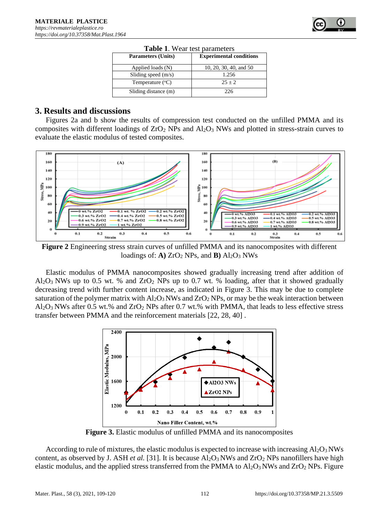

### **3. Results and discussions**

Figures 2a and b show the results of compression test conducted on the unfilled PMMA and its composites with different loadings of  $ZrO<sub>2</sub>$  NPs and  $Al<sub>2</sub>O<sub>3</sub>$  NWs and plotted in stress-strain curves to evaluate the elastic modulus of tested composites.



**Figure 2** Engineering stress strain curves of unfilled PMMA and its nanocomposites with different loadings of:  $\bf{A}$ )  $ZrO<sub>2</sub>NPs$ , and  $\bf{B}$ )  $Al<sub>2</sub>O<sub>3</sub>NWs$ 

Elastic modulus of PMMA nanocomposites showed gradually increasing trend after addition of  $Al_2O_3$  NWs up to 0.5 wt. % and  $ZrO_2$  NPs up to 0.7 wt. % loading, after that it showed gradually decreasing trend with further content increase, as indicated in Figure 3. This may be due to complete saturation of the polymer matrix with  $A\text{1}_2\text{O}_3$  NWs and  $Zr\text{O}_2$  NPs, or may be the weak interaction between Al2O3 NWs after 0.5 wt.% and ZrO<sup>2</sup> NPs after 0.7 wt.% with PMMA, that leads to less effective stress transfer between PMMA and the reinforcement materials [22, 28, 40] .



**Figure 3.** Elastic modulus of unfilled PMMA and its nanocomposites

According to rule of mixtures, the elastic modulus is expected to increase with increasing  $Al_2O_3$  NWs content, as observed by J. ASH *et al.* [31]. It is because  $Al_2O_3$  NWs and  $ZrO_2$  NPs nanofillers have high elastic modulus, and the applied stress transferred from the PMMA to  $Al_2O_3$  NWs and  $ZrO_2$  NPs. Figure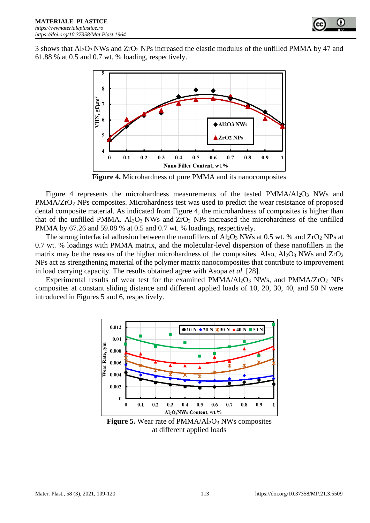3 shows that  $Al_2O_3$  NWs and  $ZrO_2$  NPs increased the elastic modulus of the unfilled PMMA by 47 and 61.88 % at 0.5 and 0.7 wt. % loading, respectively.



**Figure 4.** Microhardness of pure PMMA and its nanocomposites

Figure 4 represents the microhardness measurements of the tested  $PMMA/Al<sub>2</sub>O<sub>3</sub> NWs$  and PMMA/ZrO<sub>2</sub> NPs composites. Microhardness test was used to predict the wear resistance of proposed dental composite material. As indicated from Figure 4, the microhardness of composites is higher than that of the unfilled PMMA.  $A1_2O_3$  NWs and  $ZrO_2$  NPs increased the microhardness of the unfilled PMMA by 67.26 and 59.08 % at 0.5 and 0.7 wt. % loadings, respectively.

The strong interfacial adhesion between the nanofillers of  $Al_2O_3$  NWs at 0.5 wt. % and  $ZrO_2$  NPs at 0.7 wt. % loadings with PMMA matrix, and the molecular-level dispersion of these nanofillers in the matrix may be the reasons of the higher microhardness of the composites. Also,  $Al_2O_3$  NWs and  $ZrO_2$ NPs act as strengthening material of the polymer matrix nanocomposites that contribute to improvement in load carrying capacity. The results obtained agree with Asopa *et al.* [28].

Experimental results of wear test for the examined  $PMMA/AI_2O_3$  NWs, and  $PMMA/ZrO_2$  NPs composites at constant sliding distance and different applied loads of 10, 20, 30, 40, and 50 N were introduced in Figures 5 and 6, respectively.



**Figure 5.** Wear rate of PMMA/Al<sub>2</sub>O<sub>3</sub> NWs composites at different applied loads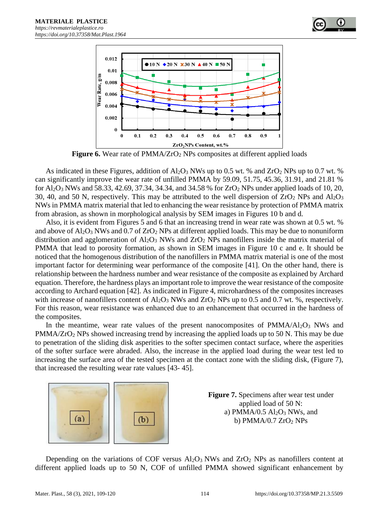

**Figure 6.** Wear rate of PMMA/ZrO<sub>2</sub> NPs composites at different applied loads

As indicated in these Figures, addition of  $Al_2O_3$  NWs up to 0.5 wt. % and ZrO<sub>2</sub> NPs up to 0.7 wt. % can significantly improve the wear rate of unfilled PMMA by 59.09, 51.75, 45.36, 31.91, and 21.81 % for  $Al_2O_3$  NWs and 58.33, 42.69, 37.34, 34.34, and 34.58 % for  $ZrO_2$  NPs under applied loads of 10, 20, 30, 40, and 50 N, respectively. This may be attributed to the well dispersion of  $ZrO<sub>2</sub>$  NPs and  $Al<sub>2</sub>O<sub>3</sub>$ NWs in PMMA matrix material that led to enhancing the wear resistance by protection of PMMA matrix from abrasion, as shown in morphological analysis by SEM images in Figures 10 b and d.

Also, it is evident from Figures 5 and 6 that an increasing trend in wear rate was shown at 0.5 wt. % and above of  $Al_2O_3$  NWs and 0.7 of  $ZrO_2$  NPs at different applied loads. This may be due to nonuniform distribution and agglomeration of  $Al_2O_3$  NWs and  $ZrO_2$  NPs nanofillers inside the matrix material of PMMA that lead to porosity formation, as shown in SEM images in Figure 10 c and e. It should be noticed that the homogenous distribution of the nanofillers in PMMA matrix material is one of the most important factor for determining wear performance of the composite [41]. On the other hand, there is relationship between the hardness number and wear resistance of the composite as explained by Archard equation. Therefore, the hardness plays an important role to improve the wear resistance of the composite according to Archard equation [42]. As indicated in Figure 4, microhardness of the composites increases with increase of nanofillers content of  $Al_2O_3$  NWs and  $ZrO_2$  NPs up to 0.5 and 0.7 wt. %, respectively. For this reason, wear resistance was enhanced due to an enhancement that occurred in the hardness of the composites.

In the meantime, wear rate values of the present nanocomposites of  $PMMA/AI_2O_3$  NWs and PMMA/ZrO<sub>2</sub> NPs showed increasing trend by increasing the applied loads up to 50 N. This may be due to penetration of the sliding disk asperities to the softer specimen contact surface, where the asperities of the softer surface were abraded. Also, the increase in the applied load during the wear test led to increasing the surface area of the tested specimen at the contact zone with the sliding disk, (Figure 7), that increased the resulting wear rate values [43- 45].



**Figure 7.** Specimens after wear test under applied load of 50 N: a) PMMA/0.5  $Al_2O_3$  NWs, and b) PMMA/0.7  $ZrO<sub>2</sub>$  NPs

Depending on the variations of COF versus  $Al_2O_3$  NWs and  $ZrO_2$  NPs as nanofillers content at different applied loads up to 50 N, COF of unfilled PMMA showed significant enhancement by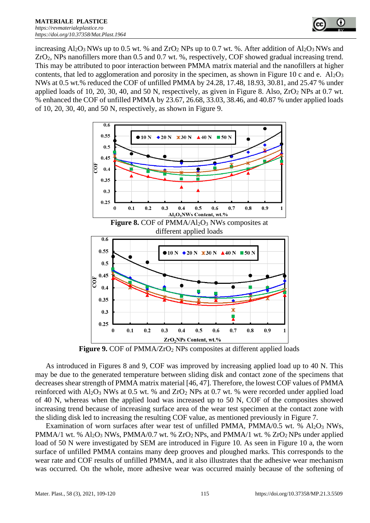

increasing  $Al_2O_3$  NWs up to 0.5 wt. % and  $ZrO_2$  NPs up to 0.7 wt. %. After addition of  $Al_2O_3$  NWs and ZrO2, NPs nanofillers more than 0.5 and 0.7 wt. %, respectively, COF showed gradual increasing trend. This may be attributed to poor interaction between PMMA matrix material and the nanofillers at higher contents, that led to agglomeration and porosity in the specimen, as shown in Figure 10 c and e.  $A1_2O_3$ NWs at 0.5 wt.% reduced the COF of unfilled PMMA by 24.28, 17.48, 18.93, 30.81, and 25.47 % under applied loads of 10, 20, 30, 40, and 50 N, respectively, as given in Figure 8. Also,  $ZrO<sub>2</sub> NPs$  at 0.7 wt. % enhanced the COF of unfilled PMMA by 23.67, 26.68, 33.03, 38.46, and 40.87 % under applied loads of 10, 20, 30, 40, and 50 N, respectively, as shown in Figure 9.



**Figure 9.** COF of PMMA/ZrO<sub>2</sub> NPs composites at different applied loads

As introduced in Figures 8 and 9, COF was improved by increasing applied load up to 40 N. This may be due to the generated temperature between sliding disk and contact zone of the specimens that decreases shear strength of PMMA matrix material [46, 47]. Therefore, the lowest COF values of PMMA reinforced with Al<sub>2</sub>O<sub>3</sub> NWs at 0.5 wt. % and ZrO<sub>2</sub> NPs at 0.7 wt. % were recorded under applied load of 40 N, whereas when the applied load was increased up to 50 N, COF of the composites showed increasing trend because of increasing surface area of the wear test specimen at the contact zone with the sliding disk led to increasing the resulting COF value, as mentioned previously in Figure 7.

Examination of worn surfaces after wear test of unfilled PMMA, PMMA/0.5 wt. %  $Al_2O_3$  NWs, PMMA/1 wt. %  $Al_2O_3$  NWs, PMMA/0.7 wt. %  $ZrO_2$  NPs, and PMMA/1 wt. %  $ZrO_2$  NPs under applied load of 50 N were investigated by SEM are introduced in Figure 10. As seen in Figure 10 a, the worn surface of unfilled PMMA contains many deep grooves and ploughed marks. This corresponds to the wear rate and COF results of unfilled PMMA, and it also illustrates that the adhesive wear mechanism was occurred. On the whole, more adhesive wear was occurred mainly because of the softening of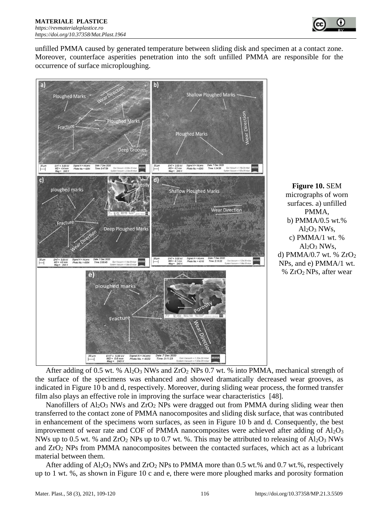

unfilled PMMA caused by generated temperature between sliding disk and specimen at a contact zone. Moreover, counterface asperities penetration into the soft unfilled PMMA are responsible for the occurrence of surface microploughing.



**Figure 10.** SEM micrographs of worn surfaces. a) unfilled PMMA, b) PMMA/0.5 wt.%  $Al_2O_3$  NWs, c) PMMA/1 wt. %  $Al_2O_3$  NWs, d) PMMA/0.7 wt. % ZrO<sup>2</sup> NPs, and e) PMMA/1 wt.  $% ZrO<sub>2</sub>NPs$ , after wear

After adding of 0.5 wt. %  $Al_2O_3$  NWs and ZrO<sub>2</sub> NPs 0.7 wt. % into PMMA, mechanical strength of the surface of the specimens was enhanced and showed dramatically decreased wear grooves, as indicated in Figure 10 b and d, respectively. Moreover, during sliding wear process, the formed transfer film also plays an effective role in improving the surface wear characteristics [48].

Nanofillers of  $A_2O_3$  NWs and  $ZrO_2$  NPs were dragged out from PMMA during sliding wear then transferred to the contact zone of PMMA nanocomposites and sliding disk surface, that was contributed in enhancement of the specimens worn surfaces, as seen in Figure 10 b and d. Consequently, the best improvement of wear rate and COF of PMMA nanocomposites were achieved after adding of  $Al_2O_3$ NWs up to 0.5 wt. % and  $ZrO<sub>2</sub>$  NPs up to 0.7 wt. %. This may be attributed to releasing of  $Al<sub>2</sub>O<sub>3</sub>$  NWs and ZrO<sup>2</sup> NPs from PMMA nanocomposites between the contacted surfaces, which act as a lubricant material between them.

After adding of  $Al_2O_3$  NWs and  $ZrO_2$  NPs to PMMA more than 0.5 wt.% and 0.7 wt.%, respectively up to 1 wt. %, as shown in Figure 10 c and e, there were more ploughed marks and porosity formation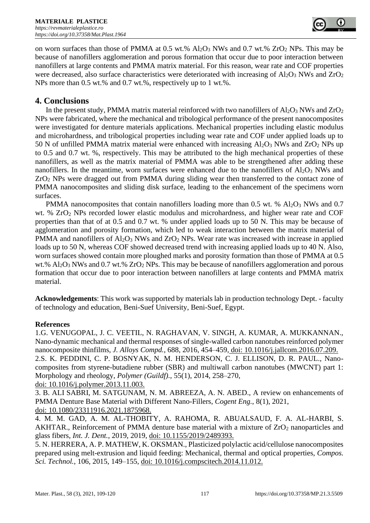

on worn surfaces than those of PMMA at  $0.5$  wt.%  $Al_2O_3$  NWs and  $0.7$  wt.%  $ZrO_2$  NPs. This may be because of nanofillers agglomeration and porous formation that occur due to poor interaction between nanofillers at large contents and PMMA matrix material. For this reason, wear rate and COF properties were decreased, also surface characteristics were deteriorated with increasing of  $A<sub>12</sub>O<sub>3</sub>$  NWs and  $ZrO<sub>2</sub>$ NPs more than 0.5 wt.% and 0.7 wt.%, respectively up to 1 wt.%.

## **4. Conclusions**

In the present study, PMMA matrix material reinforced with two nanofillers of  $Al_2O_3$  NWs and  $ZrO_2$ NPs were fabricated, where the mechanical and tribological performance of the present nanocomposites were investigated for denture materials applications. Mechanical properties including elastic modulus and microhardness, and tribological properties including wear rate and COF under applied loads up to 50 N of unfilled PMMA matrix material were enhanced with increasing  $A<sub>2</sub>O<sub>3</sub>$  NWs and ZrO<sub>2</sub> NPs up to 0.5 and 0.7 wt. %, respectively. This may be attributed to the high mechanical properties of these nanofillers, as well as the matrix material of PMMA was able to be strengthened after adding these nanofillers. In the meantime, worn surfaces were enhanced due to the nanofillers of  $A_2O_3$  NWs and ZrO<sup>2</sup> NPs were dragged out from PMMA during sliding wear then transferred to the contact zone of PMMA nanocomposites and sliding disk surface, leading to the enhancement of the specimens worn surfaces.

PMMA nanocomposites that contain nanofillers loading more than 0.5 wt. %  $Al_2O_3$  NWs and 0.7 wt. % ZrO<sup>2</sup> NPs recorded lower elastic modulus and microhardness, and higher wear rate and COF properties than that of at 0.5 and 0.7 wt. % under applied loads up to 50 N. This may be because of agglomeration and porosity formation, which led to weak interaction between the matrix material of PMMA and nanofillers of  $A_2O_3$  NWs and  $ZrO_2$  NPs. Wear rate was increased with increase in applied loads up to 50 N, whereas COF showed decreased trend with increasing applied loads up to 40 N. Also, worn surfaces showed contain more ploughed marks and porosity formation than those of PMMA at 0.5 wt.% Al<sub>2</sub>O<sub>3</sub> NWs and 0.7 wt.% ZrO<sub>2</sub> NPs. This may be because of nanofillers agglomeration and porous formation that occur due to poor interaction between nanofillers at large contents and PMMA matrix material.

**Acknowledgements**: This work was supported by materials lab in production technology Dept. - faculty of technology and education, Beni-Suef University, Beni-Suef, Egypt.

## **References**

1.G. VENUGOPAL, J. C. VEETIL, N. RAGHAVAN, V. SINGH, A. KUMAR, A. MUKKANNAN., Nano-dynamic mechanical and thermal responses of single-walled carbon nanotubes reinforced polymer nanocomposite thinfilms, *J. Alloys Compd.*, 688, 2016, 454–459, doi: 10.1016/j.jallcom.2016.07.209. 2.S. K. PEDDINI, C. P. BOSNYAK, N. M. HENDERSON, C. J. ELLISON, D. R. PAUL., Nanocomposites from styrene-butadiene rubber (SBR) and multiwall carbon nanotubes (MWCNT) part 1: Morphology and rheology, *Polymer (Guildf).*, 55(1), 2014, 258–270,

doi: 10.1016/j.polymer.2013.11.003.

3. B. ALI SABRI, M. SATGUNAM, N. M. ABREEZA, A. N. ABED., A review on enhancements of PMMA Denture Base Material with Different Nano-Fillers, *Cogent Eng.*, 8(1), 2021, doi: 10.1080/23311916.2021.1875968.

4. M. M. GAD, A. M. AL-THOBITY, A. RAHOMA, R. ABUALSAUD, F. A. AL-HARBI, S. AKHTAR., Reinforcement of PMMA denture base material with a mixture of  $ZrO<sub>2</sub>$  nanoparticles and glass fibers, *Int. J. Dent.*, 2019, 2019, doi: 10.1155/2019/2489393.

5. N. HERRERA, A. P. MATHEW, K. OKSMAN., Plasticized polylactic acid/cellulose nanocomposites prepared using melt-extrusion and liquid feeding: Mechanical, thermal and optical properties, *Compos. Sci. Technol.*, 106, 2015, 149–155, doi: 10.1016/j.compscitech.2014.11.012.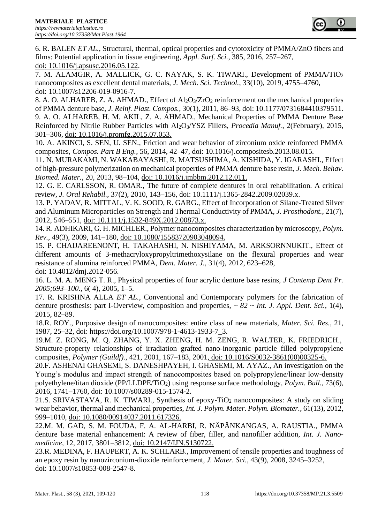

6. R. BALEN *ET AL.*, Structural, thermal, optical properties and cytotoxicity of PMMA/ZnO fibers and films: Potential application in tissue engineering, *Appl. Surf. Sci.*, 385, 2016, 257–267, doi: 10.1016/j.apsusc.2016.05.122.

7. M. ALAMGIR, A. MALLICK, G. C. NAYAK, S. K. TIWARI., Development of PMMA/TiO<sup>2</sup> nanocomposites as excellent dental materials, *J. Mech. Sci. Technol.*, 33(10), 2019, 4755–4760, doi: 10.1007/s12206-019-0916-7.

8. A. O. ALHAREB, Z. A. AHMAD., Effect of Al<sub>2</sub>O<sub>3</sub>/ZrO<sub>2</sub> reinforcement on the mechanical properties of PMMA denture base, *J. Reinf. Plast. Compos.*, 30(1), 2011, 86–93, doi: 10.1177/0731684410379511. 9. A. O. ALHAREB, H. M. AKIL, Z. A. AHMAD., Mechanical Properties of PMMA Denture Base Reinforced by Nitrile Rubber Particles with Al2O3/YSZ Fillers, *Procedia Manuf.*, 2(February), 2015, 301–306, doi: 10.1016/j.promfg.2015.07.053.

10. A. AKINCI, S. SEN, U. SEN., Friction and wear behavior of zirconium oxide reinforced PMMA composites, *Compos. Part B Eng.*, 56, 2014, 42–47, doi: 10.1016/j.compositesb.2013.08.015.

11. N. MURAKAMI, N. WAKABAYASHI, R. MATSUSHIMA, A. KISHIDA, Y. IGARASHI., Effect of high-pressure polymerization on mechanical properties of PMMA denture base resin, *J. Mech. Behav. Biomed. Mater.*, 20, 2013, 98–104, doi: 10.1016/j.jmbbm.2012.12.011.

12. G. E. CARLSSON, R. OMAR., The future of complete dentures in oral rehabilitation. A critical review, *J. Oral Rehabil.*, 37(2), 2010, 143–156, doi: 10.1111/j.1365-2842.2009.02039.x.

13. P. YADAV, R. MITTAL, V. K. SOOD, R. GARG., Effect of Incorporation of Silane-Treated Silver and Aluminum Microparticles on Strength and Thermal Conductivity of PMMA, *J. Prosthodont.*, 21(7), 2012, 546–551, doi: 10.1111/j.1532-849X.2012.00873.x.

14. R. ADHIKARI, G. H. MICHLER., Polymer nanocomposites characterization by microscopy, *Polym. Rev.*, 49(3), 2009, 141–180, doi: 10.1080/15583720903048094.

15. P. CHAIJAREENONT, H. TAKAHASHI, N. NISHIYAMA, M. ARKSORNNUKIT., Effect of different amounts of 3-methacryloxypropyltrimethoxysilane on the flexural properties and wear resistance of alumina reinforced PMMA, *Dent. Mater. J.*, 31(4), 2012, 623–628, doi: 10.4012/dmj.2012-056.

16. L. M. A. MENG T. R., Physical properties of four acrylic denture base resins, *J Contemp Dent Pr. 2005;693–100.*, 6( 4), 2005, 1–5.

17. R. KRISHNA ALLA *ET AL.*, Conventional and Contemporary polymers for the fabrication of denture prosthesis: part I-Overview, composition and properties, *~ 82 ~ Int. J. Appl. Dent. Sci.*, 1(4), 2015, 82–89.

18.R. ROY., Purposive design of nanocomposites: entire class of new materials, *Mater. Sci. Res.*, 21, 1987, 25–32, doi: https://doi.org/10.1007/978-1-4613-1933-7\_3.

19*.*M. Z. RONG, M. Q. ZHANG, Y. X. ZHENG, H. M. ZENG, R. WALTER, K. FRIEDRICH*.*, Structure-property relationships of irradiation grafted nano-inorganic particle filled polypropylene composites, *Polymer (Guildf).*, 421, 2001, 167–183, 2001, doi: 10.1016/S0032-3861(00)00325-6.

20*.*F. ASHENAI GHASEMI, S. DANESHPAYEH, I. GHASEMI, M. AYAZ*.*, An investigation on the Young's modulus and impact strength of nanocomposites based on polypropylene/linear low-density polyethylene/titan dioxide (PP/LLDPE/TiO2) using response surface methodology, *Polym. Bull.*, 73*)*6*(*, 2016, 1741–1760, doi: 10.1007/s00289-015-1574-2.

21.S. SRIVASTAVA, R. K. TIWARI., Synthesis of epoxy-TiO<sub>2</sub> nanocomposites: A study on sliding wear behavior, thermal and mechanical properties, *Int. J. Polym. Mater. Polym. Biomater.*, 61(13), 2012, 999–1010, doi: 10.1080/00914037.2011.617326.

22.M. M. GAD, S. M. FOUDA, F. A. AL-HARBI, R. NÄPÄNKANGAS, A. RAUSTIA., PMMA denture base material enhancement: A review of fiber, filler, and nanofiller addition, *Int. J. Nanomedicine*, 12, 2017, 3801–3812, doi: 10.2147/IJN.S130722.

23.R. MEDINA, F. HAUPERT, A. K. SCHLARB., Improvement of tensile properties and toughness of an epoxy resin by nanozirconium-dioxide reinforcement, *J. Mater. Sci.*, 43(9), 2008, 3245–3252, doi: 10.1007/s10853-008-2547-8.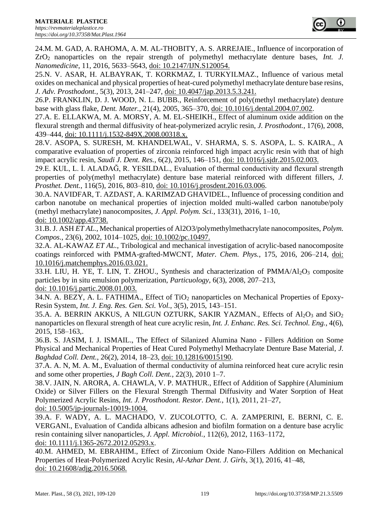

24.M. M. GAD, A. RAHOMA, A. M. AL-THOBITY, A. S. ARREJAIE., Influence of incorporation of ZrO2 nanoparticles on the repair strength of polymethyl methacrylate denture bases, *Int. J. Nanomedicine*, 11, 2016, 5633–5643, doi: 10.2147/IJN.S120054.

25.N. V. ASAR, H. ALBAYRAK, T. KORKMAZ, I. TURKYILMAZ., Influence of various metal oxides on mechanical and physical properties of heat-cured polymethyl methacrylate denture base resins, *J. Adv. Prosthodont.*, 5(3), 2013, 241–247, doi: 10.4047/jap.2013.5.3.241.

26.P. FRANKLIN, D. J. WOOD, N. L. BUBB., Reinforcement of poly(methyl methacrylate) denture base with glass flake, *Dent. Mater.*, 21(4), 2005, 365–370, doi: 10.1016/j.dental.2004.07.002.

27.A. E. ELLAKWA, M. A. MORSY, A. M. EL-SHEIKH., Effect of aluminum oxide addition on the flexural strength and thermal diffusivity of heat-polymerized acrylic resin, *J. Prosthodont.*, 17(6), 2008, 439–444, doi: 10.1111/j.1532-849X.2008.00318.x.

28.V. ASOPA, S. SURESH, M. KHANDELWAL, V. SHARMA, S. S. ASOPA, L. S. KAIRA., A comparative evaluation of properties of zirconia reinforced high impact acrylic resin with that of high impact acrylic resin, *Saudi J. Dent. Res.*, 6(2), 2015, 146–151, doi: 10.1016/j.sjdr.2015.02.003.

29.E. KUL, L. İ. ALADAĞ, R. YESILDAL., Evaluation of thermal conductivity and flexural strength properties of poly(methyl methacrylate) denture base material reinforced with different fillers, *J. Prosthet. Dent.*, 116(5), 2016, 803–810, doi: 10.1016/j.prosdent.2016.03.006.

30.A. NAVIDFAR, T. AZDAST, A. KARIMZAD GHAVIDEL., Influence of processing condition and carbon nanotube on mechanical properties of injection molded multi-walled carbon nanotube/poly (methyl methacrylate) nanocomposites, *J. Appl. Polym. Sci.*, 133(31), 2016, 1–10, doi: 10.1002/app.43738.

31.B. J. ASH *ET AL.*, Mechanical properties of Al2O3/polymethylmethacrylate nanocomposites, *Polym. Compos.*, 23(6), 2002, 1014–1025, doi: 10.1002/pc.10497.

32.A. AL-KAWAZ *ET AL.*, Tribological and mechanical investigation of acrylic-based nanocomposite coatings reinforced with PMMA-grafted-MWCNT, *Mater. Chem. Phys.*, 175, 2016, 206–214, doi: 10.1016/j.matchemphys.2016.03.021.

33.H. LIU, H. YE, T. LIN, T. ZHOU., Synthesis and characterization of  $PMMA/A1<sub>2</sub>O<sub>3</sub>$  composite particles by in situ emulsion polymerization, *Particuology*, 6(3), 2008, 207–213, doi: 10.1016/j.partic.2008.01.003.

34.N. A. BEZY, A. L. FATHIMA., Effect of TiO<sub>2</sub> nanoparticles on Mechanical Properties of Epoxy-Resin System, *Int. J. Eng. Res. Gen. Sci. Vol.*, 3(5), 2015, 143–151.

35.A. A. BERRIN AKKUS, A NILGUN OZTURK, SAKIR YAZMAN., Effects of  $Al_2O_3$  and  $SiO_2$ nanoparticles on flexural strength of heat cure acrylic resin, *Int. J. Enhanc. Res. Sci. Technol. Eng.*, 4(6), 2015, 158–163,.

36.B. S. JASIM, I. J. ISMAIL., The Effect of Silanized Alumina Nano - Fillers Addition on Some Physical and Mechanical Properties of Heat Cured Polymethyl Methacrylate Denture Base Material, *J. Baghdad Coll. Dent.*, 26(2), 2014, 18–23, doi: 10.12816/0015190.

37.A. A. N, M. A. M., Evaluation of thermal conductivity of alumina reinforced heat cure acrylic resin and some other properties, *J Bagh Coll. Dent.*, 22(3), 2010 1–7.

38.V. JAIN, N. ARORA, A. CHAWLA, V. P. MATHUR., Effect of Addition of Sapphire (Aluminium Oxide) or Silver Fillers on the Flexural Strength Thermal Diffusivity and Water Sorption of Heat Polymerized Acrylic Resins, *Int. J. Prosthodont. Restor. Dent.*, 1(1), 2011, 21–27, doi: 10.5005/jp-journals-10019-1004.

39.A. F. WADY, A. L. MACHADO, V. ZUCOLOTTO, C. A. ZAMPERINI, E. BERNI, C. E. VERGANI., Evaluation of Candida albicans adhesion and biofilm formation on a denture base acrylic resin containing silver nanoparticles, *J. Appl. Microbiol.*, 112(6), 2012, 1163–1172, doi: 10.1111/j.1365-2672.2012.05293.x.

40.M. AHMED, M. EBRAHIM., Effect of Zirconium Oxide Nano-Fillers Addition on Mechanical Properties of Heat-Polymerized Acrylic Resin, *Al-Azhar Dent. J. Girls*, 3(1), 2016, 41–48, doi: 10.21608/adjg.2016.5068.